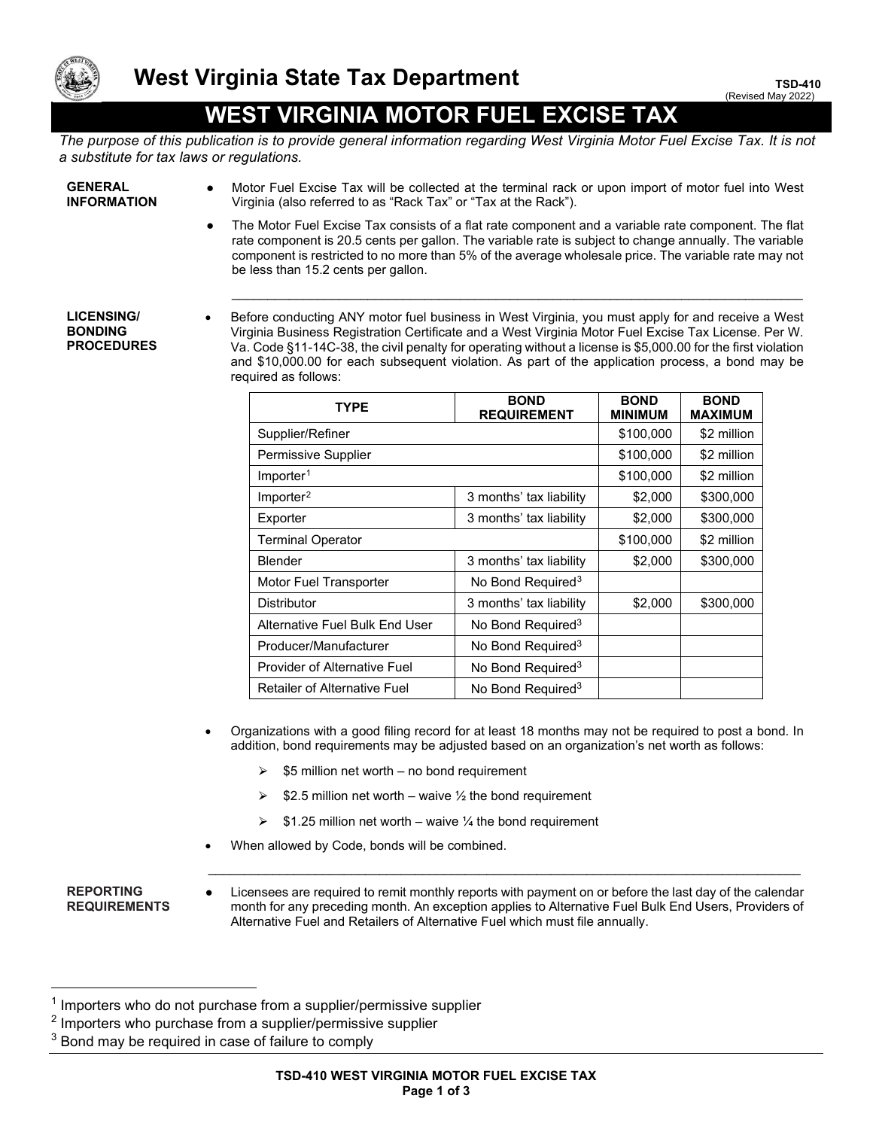

# **WEST VIRGINIA MOTOR FUEL EXCISE TAX**

*The purpose of this publication is to provide general information regarding West Virginia Motor Fuel Excise Tax. It is not a substitute for tax laws or regulations.*

**GENERAL INFORMATION**

- Motor Fuel Excise Tax will be collected at the terminal rack or upon import of motor fuel into West Virginia (also referred to as "Rack Tax" or "Tax at the Rack").
- The Motor Fuel Excise Tax consists of a flat rate component and a variable rate component. The flat rate component is 20.5 cents per gallon. The variable rate is subject to change annually. The variable component is restricted to no more than 5% of the average wholesale price. The variable rate may not be less than 15.2 cents per gallon.

### **LICENSING/ BONDING PROCEDURES**

• Before conducting ANY motor fuel business in West Virginia, you must apply for and receive a West Virginia Business Registration Certificate and a West Virginia Motor Fuel Excise Tax License. Per W. Va. Code §11-14C-38, the civil penalty for operating without a license is \$5,000.00 for the first violation and \$10,000.00 for each subsequent violation. As part of the application process, a bond may be required as follows:

\_\_\_\_\_\_\_\_\_\_\_\_\_\_\_\_\_\_\_\_\_\_\_\_\_\_\_\_\_\_\_\_\_\_\_\_\_\_\_\_\_\_\_\_\_\_\_\_\_\_\_\_\_\_\_\_\_\_\_\_\_\_\_\_\_\_\_\_\_\_\_\_\_\_\_\_\_\_\_\_

| <b>TYPE</b>                         | <b>BOND</b><br><b>REQUIREMENT</b> | <b>BOND</b><br><b>MINIMUM</b> | <b>BOND</b><br><b>MAXIMUM</b> |
|-------------------------------------|-----------------------------------|-------------------------------|-------------------------------|
| Supplier/Refiner                    |                                   | \$100,000                     | \$2 million                   |
| Permissive Supplier                 |                                   | \$100,000                     | \$2 million                   |
| Importer <sup>1</sup>               |                                   | \$100,000                     | \$2 million                   |
| Importer <sup>2</sup>               | 3 months' tax liability           | \$2,000                       | \$300,000                     |
| Exporter                            | 3 months' tax liability           | \$2,000                       | \$300,000                     |
| <b>Terminal Operator</b>            |                                   | \$100,000                     | \$2 million                   |
| <b>Blender</b>                      | 3 months' tax liability           | \$2,000                       | \$300,000                     |
| Motor Fuel Transporter              | No Bond Required <sup>3</sup>     |                               |                               |
| <b>Distributor</b>                  | 3 months' tax liability           | \$2,000                       | \$300,000                     |
| Alternative Fuel Bulk End User      | No Bond Required <sup>3</sup>     |                               |                               |
| Producer/Manufacturer               | No Bond Required <sup>3</sup>     |                               |                               |
| <b>Provider of Alternative Fuel</b> | No Bond Required <sup>3</sup>     |                               |                               |
| Retailer of Alternative Fuel        | No Bond Required <sup>3</sup>     |                               |                               |

- Organizations with a good filing record for at least 18 months may not be required to post a bond. In addition, bond requirements may be adjusted based on an organization's net worth as follows:
	- $\geq$  \$5 million net worth no bond requirement
	- $\ge$  \$2.5 million net worth waive  $\frac{1}{2}$  the bond requirement
	- $\ge$  \$1.25 million net worth waive ¼ the bond requirement
- When allowed by Code, bonds will be combined.

## **REPORTING REQUIREMENTS**

Licensees are required to remit monthly reports with payment on or before the last day of the calendar month for any preceding month. An exception applies to Alternative Fuel Bulk End Users, Providers of Alternative Fuel and Retailers of Alternative Fuel which must file annually.

 $\_$  , and the set of the set of the set of the set of the set of the set of the set of the set of the set of the set of the set of the set of the set of the set of the set of the set of the set of the set of the set of th

<span id="page-0-0"></span> $1$  Importers who do not purchase from a supplier/permissive supplier

<span id="page-0-1"></span><sup>2</sup> Importers who purchase from a supplier/permissive supplier

<span id="page-0-2"></span> $3$  Bond may be required in case of failure to comply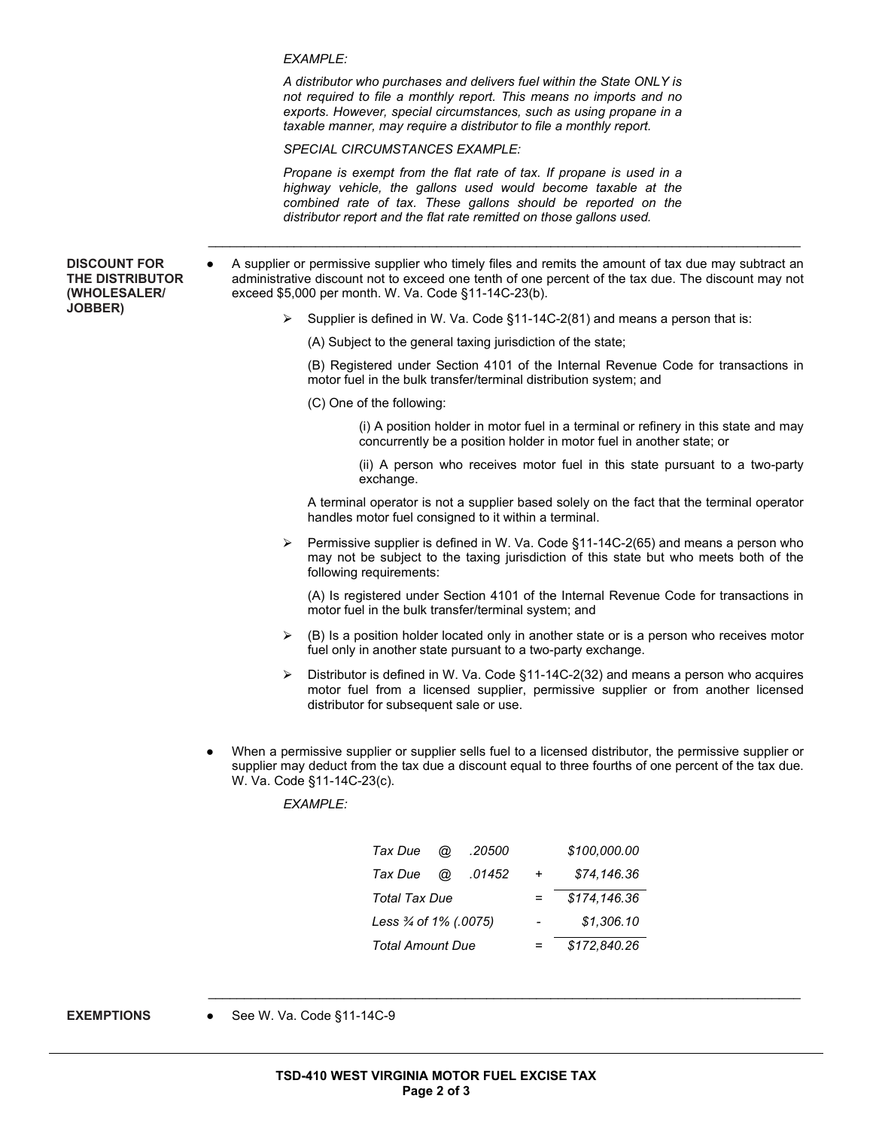*EXAMPLE:*

*A distributor who purchases and delivers fuel within the State ONLY is not required to file a monthly report. This means no imports and no exports. However, special circumstances, such as using propane in a taxable manner, may require a distributor to file a monthly report.* 

*SPECIAL CIRCUMSTANCES EXAMPLE:*

*Propane is exempt from the flat rate of tax. If propane is used in a highway vehicle, the gallons used would become taxable at the combined rate of tax. These gallons should be reported on the distributor report and the flat rate remitted on those gallons used.*

**DISCOUNT FOR THE DISTRIBUTOR (WHOLESALER/ JOBBER)**

A supplier or permissive supplier who timely files and remits the amount of tax due may subtract an administrative discount not to exceed one tenth of one percent of the tax due. The discount may not exceed \$5,000 per month. W. Va. Code §11-14C-23(b).

 $\_$  , and the set of the set of the set of the set of the set of the set of the set of the set of the set of the set of the set of the set of the set of the set of the set of the set of the set of the set of the set of th

- $\triangleright$  Supplier is defined in W. Va. Code §11-14C-2(81) and means a person that is:
	- (A) Subject to the general taxing jurisdiction of the state;

(B) Registered under Section 4101 of the Internal Revenue Code for transactions in motor fuel in the bulk transfer/terminal distribution system; and

(C) One of the following:

(i) A position holder in motor fuel in a terminal or refinery in this state and may concurrently be a position holder in motor fuel in another state; or

(ii) A person who receives motor fuel in this state pursuant to a two-party exchange.

A terminal operator is not a supplier based solely on the fact that the terminal operator handles motor fuel consigned to it within a terminal.

 $\triangleright$  Permissive supplier is defined in W. Va. Code §11-14C-2(65) and means a person who may not be subject to the taxing jurisdiction of this state but who meets both of the following requirements:

(A) Is registered under Section 4101 of the Internal Revenue Code for transactions in motor fuel in the bulk transfer/terminal system; and

- $\triangleright$  (B) Is a position holder located only in another state or is a person who receives motor fuel only in another state pursuant to a two-party exchange.
- ⮚ Distributor is defined in W. Va. Code §11-14C-2(32) and means a person who acquires motor fuel from a licensed supplier, permissive supplier or from another licensed distributor for subsequent sale or use.
- When a permissive supplier or supplier sells fuel to a licensed distributor, the permissive supplier or supplier may deduct from the tax due a discount equal to three fourths of one percent of the tax due. W. Va. Code §11-14C-23(c).

*EXAMPLE:*

| Tax Due                 | @ | .20500 |              | \$100,000.00 |
|-------------------------|---|--------|--------------|--------------|
| Tax Due                 | @ | .01452 | +            | \$74.146.36  |
| Total Tax Due           |   |        | \$174,146.36 |              |
| Less 3⁄4 of 1% (.0075)  |   |        | \$1,306.10   |              |
| <b>Total Amount Due</b> |   |        | \$172,840.26 |              |

 $\_$  , and the set of the set of the set of the set of the set of the set of the set of the set of the set of the set of the set of the set of the set of the set of the set of the set of the set of the set of the set of th

**EXEMPTIONS** ● See W. Va. Code §11-14C-9